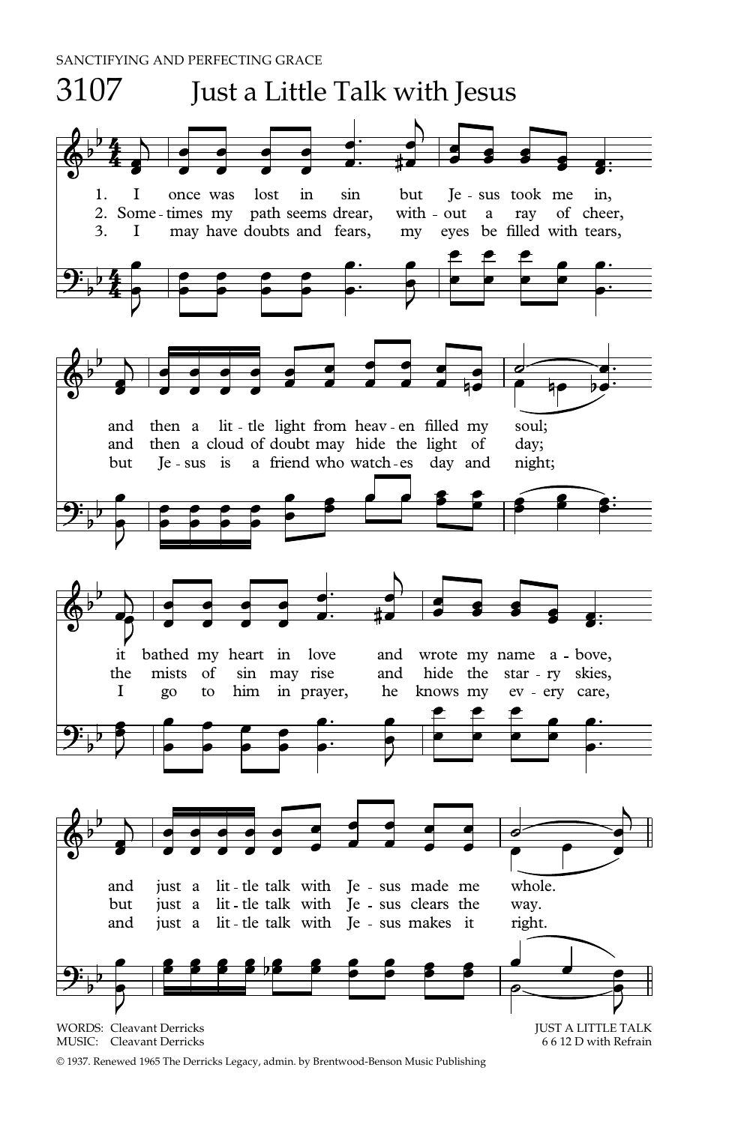

MUSIC: Cleavant Derricks

© 1937. Renewed 1965 The Derricks Legacy, admin. by Brentwood-Benson Music Publishing